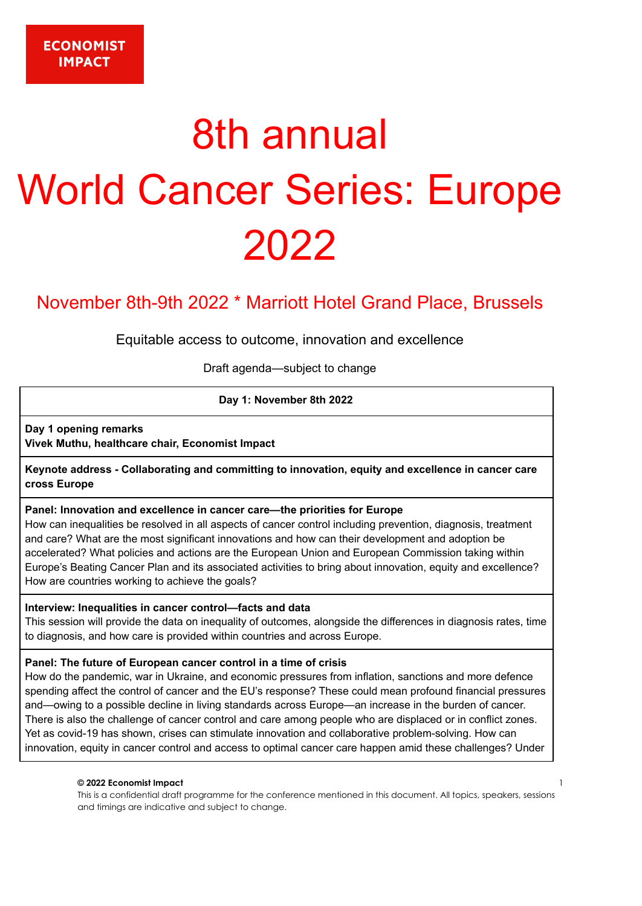# 8th annual World Cancer Series: Europe 2022

November 8th-9th 2022 \* Marriott Hotel Grand Place, Brussels

Equitable access to outcome, innovation and excellence

Draft agenda—subject to change

**Day 1: November 8th 2022**

**Day 1 opening remarks**

**Vivek Muthu, healthcare chair, Economist Impact**

**Keynote address - Collaborating and committing to innovation, equity and excellence in cancer care cross Europe**

# **Panel: Innovation and excellence in cancer care—the priorities for Europe**

How can inequalities be resolved in all aspects of cancer control including prevention, diagnosis, treatment and care? What are the most significant innovations and how can their development and adoption be accelerated? What policies and actions are the European Union and European Commission taking within Europe's Beating Cancer Plan and its associated activities to bring about innovation, equity and excellence? How are countries working to achieve the goals?

#### **Interview: Inequalities in cancer control—facts and data**

This session will provide the data on inequality of outcomes, alongside the differences in diagnosis rates, time to diagnosis, and how care is provided within countries and across Europe.

### **Panel: The future of European cancer control in a time of crisis**

How do the pandemic, war in Ukraine, and economic pressures from inflation, sanctions and more defence spending affect the control of cancer and the EU's response? These could mean profound financial pressures and—owing to a possible decline in living standards across Europe—an increase in the burden of cancer. There is also the challenge of cancer control and care among people who are displaced or in conflict zones. Yet as covid-19 has shown, crises can stimulate innovation and collaborative problem-solving. How can innovation, equity in cancer control and access to optimal cancer care happen amid these challenges? Under

#### **© 2022 Economist Impact** 1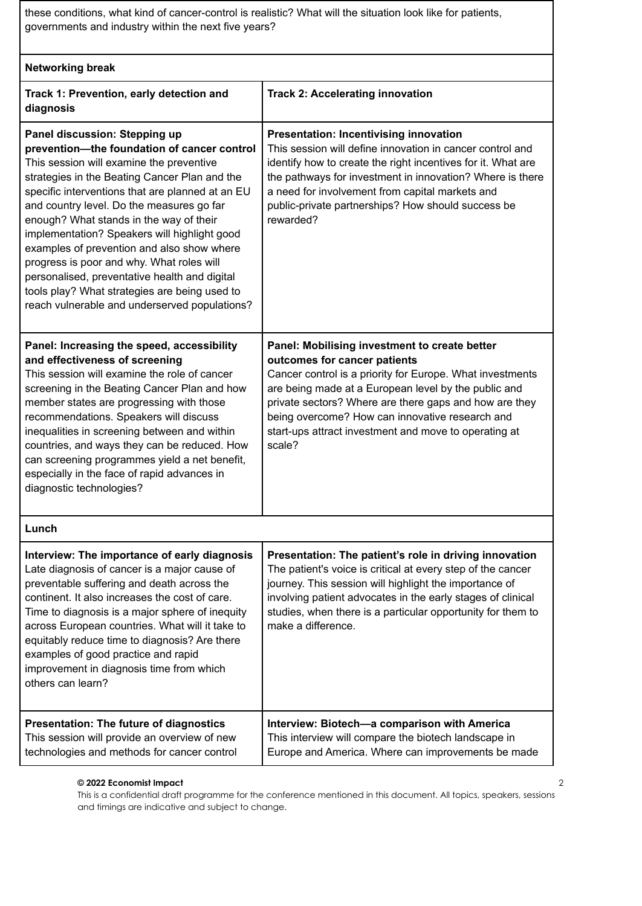| these conditions, what kind of cancer-control is realistic? What will the situation look like for patients,<br>governments and industry within the next five years?                                                                                                                                                                                                                                                                                                                                                                                                                                                 |                                                                                                                                                                                                                                                                                                                                                                                    |  |
|---------------------------------------------------------------------------------------------------------------------------------------------------------------------------------------------------------------------------------------------------------------------------------------------------------------------------------------------------------------------------------------------------------------------------------------------------------------------------------------------------------------------------------------------------------------------------------------------------------------------|------------------------------------------------------------------------------------------------------------------------------------------------------------------------------------------------------------------------------------------------------------------------------------------------------------------------------------------------------------------------------------|--|
| <b>Networking break</b>                                                                                                                                                                                                                                                                                                                                                                                                                                                                                                                                                                                             |                                                                                                                                                                                                                                                                                                                                                                                    |  |
| Track 1: Prevention, early detection and<br>diagnosis                                                                                                                                                                                                                                                                                                                                                                                                                                                                                                                                                               | <b>Track 2: Accelerating innovation</b>                                                                                                                                                                                                                                                                                                                                            |  |
| Panel discussion: Stepping up<br>prevention-the foundation of cancer control<br>This session will examine the preventive<br>strategies in the Beating Cancer Plan and the<br>specific interventions that are planned at an EU<br>and country level. Do the measures go far<br>enough? What stands in the way of their<br>implementation? Speakers will highlight good<br>examples of prevention and also show where<br>progress is poor and why. What roles will<br>personalised, preventative health and digital<br>tools play? What strategies are being used to<br>reach vulnerable and underserved populations? | <b>Presentation: Incentivising innovation</b><br>This session will define innovation in cancer control and<br>identify how to create the right incentives for it. What are<br>the pathways for investment in innovation? Where is there<br>a need for involvement from capital markets and<br>public-private partnerships? How should success be<br>rewarded?                      |  |
| Panel: Increasing the speed, accessibility<br>and effectiveness of screening<br>This session will examine the role of cancer<br>screening in the Beating Cancer Plan and how<br>member states are progressing with those<br>recommendations. Speakers will discuss<br>inequalities in screening between and within<br>countries, and ways they can be reduced. How<br>can screening programmes yield a net benefit,<br>especially in the face of rapid advances in<br>diagnostic technologies?                                                                                                                      | Panel: Mobilising investment to create better<br>outcomes for cancer patients<br>Cancer control is a priority for Europe. What investments<br>are being made at a European level by the public and<br>private sectors? Where are there gaps and how are they<br>being overcome? How can innovative research and<br>start-ups attract investment and move to operating at<br>scale? |  |
| Lunch                                                                                                                                                                                                                                                                                                                                                                                                                                                                                                                                                                                                               |                                                                                                                                                                                                                                                                                                                                                                                    |  |
| Interview: The importance of early diagnosis<br>Late diagnosis of cancer is a major cause of<br>preventable suffering and death across the<br>continent. It also increases the cost of care.<br>Time to diagnosis is a major sphere of inequity<br>across European countries. What will it take to<br>equitably reduce time to diagnosis? Are there<br>examples of good practice and rapid<br>improvement in diagnosis time from which<br>others can learn?                                                                                                                                                         | Presentation: The patient's role in driving innovation<br>The patient's voice is critical at every step of the cancer<br>journey. This session will highlight the importance of<br>involving patient advocates in the early stages of clinical<br>studies, when there is a particular opportunity for them to<br>make a difference.                                                |  |
| <b>Presentation: The future of diagnostics</b><br>This session will provide an overview of new<br>technologies and methods for cancer control                                                                                                                                                                                                                                                                                                                                                                                                                                                                       | Interview: Biotech-a comparison with America<br>This interview will compare the biotech landscape in<br>Europe and America. Where can improvements be made                                                                                                                                                                                                                         |  |

# **© 2022 Economist Impact** 2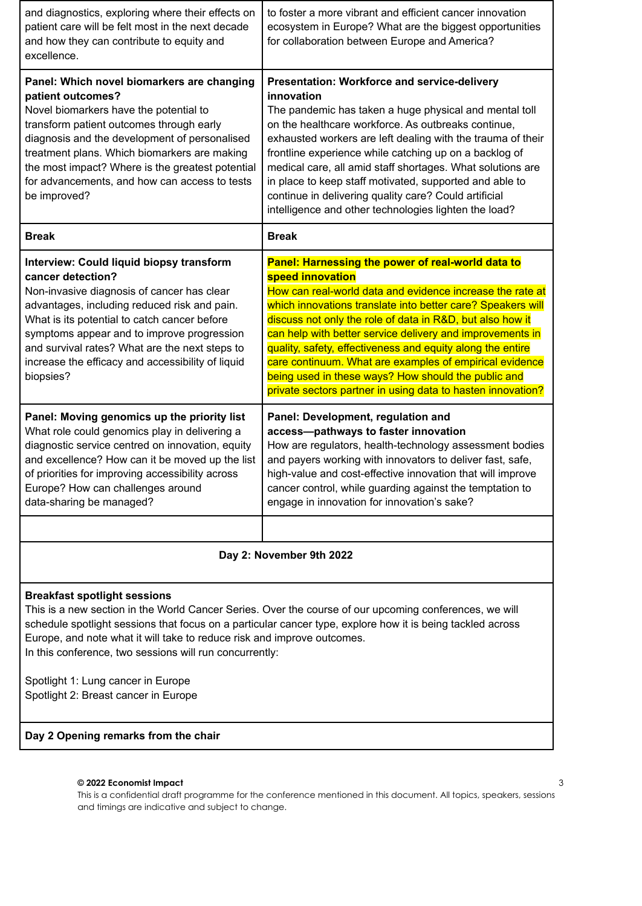| and diagnostics, exploring where their effects on<br>patient care will be felt most in the next decade<br>and how they can contribute to equity and<br>excellence.                                                                                                                                                                                                          | to foster a more vibrant and efficient cancer innovation<br>ecosystem in Europe? What are the biggest opportunities<br>for collaboration between Europe and America?                                                                                                                                                                                                                                                                                                                                                                            |
|-----------------------------------------------------------------------------------------------------------------------------------------------------------------------------------------------------------------------------------------------------------------------------------------------------------------------------------------------------------------------------|-------------------------------------------------------------------------------------------------------------------------------------------------------------------------------------------------------------------------------------------------------------------------------------------------------------------------------------------------------------------------------------------------------------------------------------------------------------------------------------------------------------------------------------------------|
| Panel: Which novel biomarkers are changing<br>patient outcomes?<br>Novel biomarkers have the potential to<br>transform patient outcomes through early<br>diagnosis and the development of personalised<br>treatment plans. Which biomarkers are making<br>the most impact? Where is the greatest potential<br>for advancements, and how can access to tests<br>be improved? | Presentation: Workforce and service-delivery<br>innovation<br>The pandemic has taken a huge physical and mental toll<br>on the healthcare workforce. As outbreaks continue,<br>exhausted workers are left dealing with the trauma of their<br>frontline experience while catching up on a backlog of<br>medical care, all amid staff shortages. What solutions are<br>in place to keep staff motivated, supported and able to<br>continue in delivering quality care? Could artificial<br>intelligence and other technologies lighten the load? |
| <b>Break</b>                                                                                                                                                                                                                                                                                                                                                                | <b>Break</b>                                                                                                                                                                                                                                                                                                                                                                                                                                                                                                                                    |
| Interview: Could liquid biopsy transform<br>cancer detection?                                                                                                                                                                                                                                                                                                               | Panel: Harnessing the power of real-world data to<br>speed innovation                                                                                                                                                                                                                                                                                                                                                                                                                                                                           |
| Non-invasive diagnosis of cancer has clear<br>advantages, including reduced risk and pain.<br>What is its potential to catch cancer before<br>symptoms appear and to improve progression<br>and survival rates? What are the next steps to<br>increase the efficacy and accessibility of liquid<br>biopsies?                                                                | How can real-world data and evidence increase the rate at<br>which innovations translate into better care? Speakers will<br>discuss not only the role of data in R&D, but also how it<br>can help with better service delivery and improvements in<br>quality, safety, effectiveness and equity along the entire<br>care continuum. What are examples of empirical evidence<br>being used in these ways? How should the public and<br>private sectors partner in using data to hasten innovation?                                               |
| Panel: Moving genomics up the priority list<br>What role could genomics play in delivering a<br>diagnostic service centred on innovation, equity<br>and excellence? How can it be moved up the list<br>of priorities for improving accessibility across<br>Europe? How can challenges around<br>data-sharing be managed?                                                    | Panel: Development, regulation and<br>access-pathways to faster innovation<br>How are regulators, health-technology assessment bodies<br>and payers working with innovators to deliver fast, safe,<br>high-value and cost-effective innovation that will improve<br>cancer control, while guarding against the temptation to<br>engage in innovation for innovation's sake?                                                                                                                                                                     |

# **Day 2: November 9th 2022**

# **Breakfast spotlight sessions**

This is a new section in the World Cancer Series. Over the course of our upcoming conferences, we will schedule spotlight sessions that focus on a particular cancer type, explore how it is being tackled across Europe, and note what it will take to reduce risk and improve outcomes. In this conference, two sessions will run concurrently:

Spotlight 1: Lung cancer in Europe Spotlight 2: Breast cancer in Europe

## **Day 2 Opening remarks from the chair**

### **© 2022 Economist Impact** 3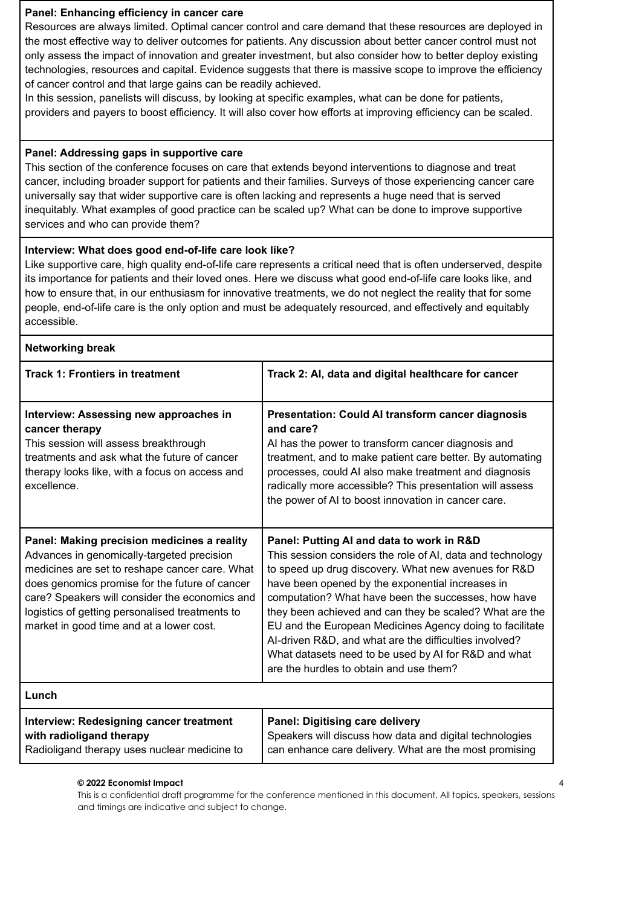# **Panel: Enhancing efficiency in cancer care**

Resources are always limited. Optimal cancer control and care demand that these resources are deployed in the most effective way to deliver outcomes for patients. Any discussion about better cancer control must not only assess the impact of innovation and greater investment, but also consider how to better deploy existing technologies, resources and capital. Evidence suggests that there is massive scope to improve the efficiency of cancer control and that large gains can be readily achieved.

In this session, panelists will discuss, by looking at specific examples, what can be done for patients, providers and payers to boost efficiency. It will also cover how efforts at improving efficiency can be scaled.

# **Panel: Addressing gaps in supportive care**

This section of the conference focuses on care that extends beyond interventions to diagnose and treat cancer, including broader support for patients and their families. Surveys of those experiencing cancer care universally say that wider supportive care is often lacking and represents a huge need that is served inequitably. What examples of good practice can be scaled up? What can be done to improve supportive services and who can provide them?

# **Interview: What does good end-of-life care look like?**

Like supportive care, high quality end-of-life care represents a critical need that is often underserved, despite its importance for patients and their loved ones. Here we discuss what good end-of-life care looks like, and how to ensure that, in our enthusiasm for innovative treatments, we do not neglect the reality that for some people, end-of-life care is the only option and must be adequately resourced, and effectively and equitably accessible.

# **Networking break**

| <b>Track 1: Frontiers in treatment</b>                                                                                                                                                                                                                                                                                                         | Track 2: Al, data and digital healthcare for cancer                                                                                                                                                                                                                                                                                                                                                                                                                                                                                                            |
|------------------------------------------------------------------------------------------------------------------------------------------------------------------------------------------------------------------------------------------------------------------------------------------------------------------------------------------------|----------------------------------------------------------------------------------------------------------------------------------------------------------------------------------------------------------------------------------------------------------------------------------------------------------------------------------------------------------------------------------------------------------------------------------------------------------------------------------------------------------------------------------------------------------------|
| Interview: Assessing new approaches in<br>cancer therapy<br>This session will assess breakthrough<br>treatments and ask what the future of cancer<br>therapy looks like, with a focus on access and<br>excellence.                                                                                                                             | Presentation: Could AI transform cancer diagnosis<br>and care?<br>AI has the power to transform cancer diagnosis and<br>treatment, and to make patient care better. By automating<br>processes, could AI also make treatment and diagnosis<br>radically more accessible? This presentation will assess<br>the power of AI to boost innovation in cancer care.                                                                                                                                                                                                  |
| Panel: Making precision medicines a reality<br>Advances in genomically-targeted precision<br>medicines are set to reshape cancer care. What<br>does genomics promise for the future of cancer<br>care? Speakers will consider the economics and<br>logistics of getting personalised treatments to<br>market in good time and at a lower cost. | Panel: Putting AI and data to work in R&D<br>This session considers the role of AI, data and technology<br>to speed up drug discovery. What new avenues for R&D<br>have been opened by the exponential increases in<br>computation? What have been the successes, how have<br>they been achieved and can they be scaled? What are the<br>EU and the European Medicines Agency doing to facilitate<br>Al-driven R&D, and what are the difficulties involved?<br>What datasets need to be used by AI for R&D and what<br>are the hurdles to obtain and use them? |
| Lunch                                                                                                                                                                                                                                                                                                                                          |                                                                                                                                                                                                                                                                                                                                                                                                                                                                                                                                                                |
| Interview: Redesigning cancer treatment<br>with radioligand therapy<br>Radioligand therapy uses nuclear medicine to                                                                                                                                                                                                                            | Panel: Digitising care delivery<br>Speakers will discuss how data and digital technologies<br>can enhance care delivery. What are the most promising                                                                                                                                                                                                                                                                                                                                                                                                           |

#### **© 2022 Economist Impact** 4